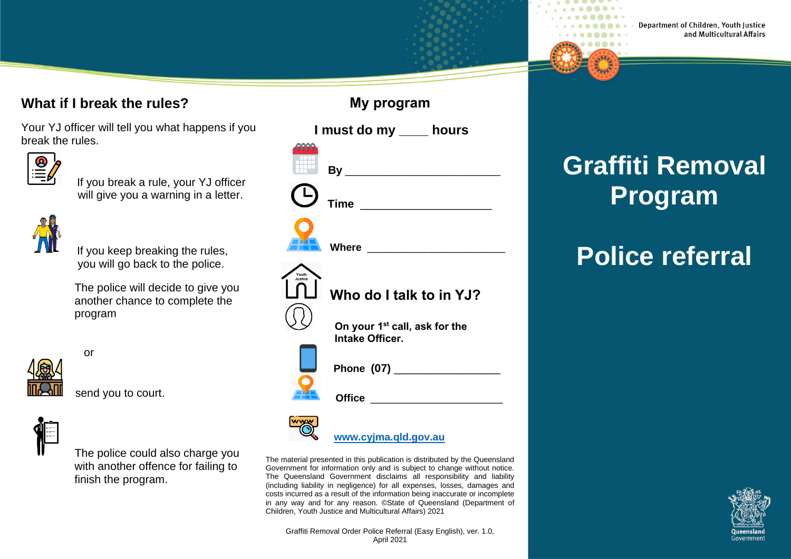#### **What if I break the rules?**

Your YJ officer will tell you what happens if you break the rules.

|--|

 If you break a rule, your YJ officer will give you a warning in a letter.



If you keep breaking the rules, you will go back to the police.

 The police will decide to give you another chance to complete the program



send you to court.

or



The police could also charge you with another offence for failing to finish the program.

| ווואושוט וע                                                         |  |  |  |
|---------------------------------------------------------------------|--|--|--|
| I must do my ____ hours                                             |  |  |  |
|                                                                     |  |  |  |
|                                                                     |  |  |  |
| Where <u>_____________</u>                                          |  |  |  |
| Youth<br>Justice<br>Who do I talk to in YJ?                         |  |  |  |
| On your 1 <sup>st</sup> call, ask for the<br><b>Intake Officer.</b> |  |  |  |
|                                                                     |  |  |  |
| Office _____________________                                        |  |  |  |
|                                                                     |  |  |  |

**My program**

 **[www.cyjma.qld.gov.au](http://www.cyjma.qld.gov.au/)**

The material presented in this publication is distributed by the Queensland Government for information only and is subject to change without notice. The Queensland Government disclaims all responsibility and liability (including liability in negligence) for all expenses, losses, damages and costs incurred as a result of the information being inaccurate or incomplete in any way and for any reason. ©State of Queensland (Department of Children, Youth Justice and Multicultural Affairs) 2021

Graffiti Removal Order Police Referral (Easy English), ver. 1.0, April 2021

# **Graffiti Removal Program**

## **Police referral**